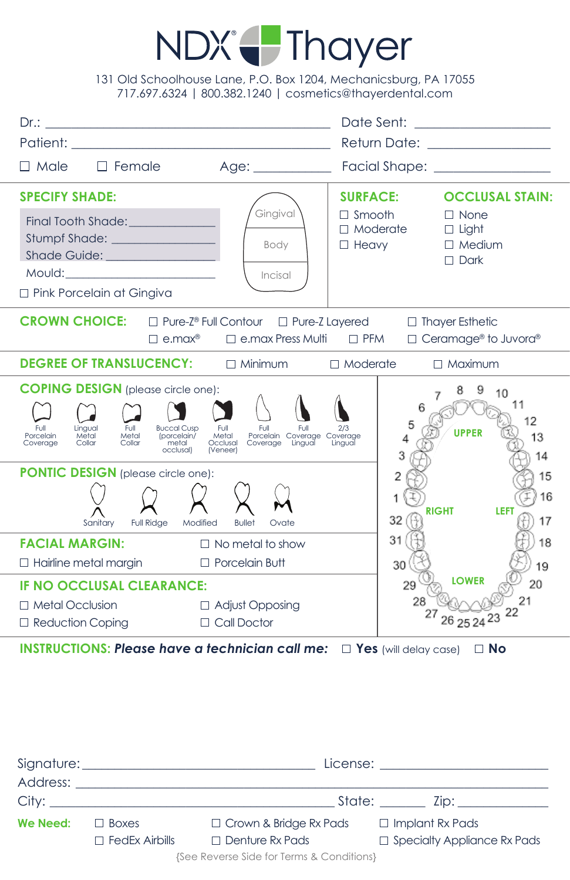## NDX Thayer

131 Old Schoolhouse Lane, P.O. Box 1204, Mechanicsburg, PA 17055 717.697.6324 | 800.382.1240 | cosmetics@thayerdental.com

|                                                                                                                                                                                                                                                                                                                          |                                                                                                                  | Date Sent: ___________________<br>Return Date: ________________                                                                                              |  |  |
|--------------------------------------------------------------------------------------------------------------------------------------------------------------------------------------------------------------------------------------------------------------------------------------------------------------------------|------------------------------------------------------------------------------------------------------------------|--------------------------------------------------------------------------------------------------------------------------------------------------------------|--|--|
| $\Box$ Female<br>$\Box$ Male                                                                                                                                                                                                                                                                                             | Age:                                                                                                             | Facial Shape: _________________                                                                                                                              |  |  |
| <b>SPECIFY SHADE:</b><br>Stumpf Shade: ________________<br>Shade Guide: All and the Contract of the Contract of the Contract of the Contract of the Contract of the Contract of the Contract of the Contract of the Contract of the Contract of the Contract of the Contract of the Contr<br>□ Pink Porcelain at Gingiva | Gingival<br>Body<br>Incisal                                                                                      | <b>SURFACE:</b><br><b>OCCLUSAL STAIN:</b><br>$\Box$ Smooth<br>$\Box$ None<br>$\Box$ Moderate<br>$\Box$ Light<br>$\Box$ Medium<br>$\Box$ Heavy<br>$\Box$ Dark |  |  |
| CROWN CHOICE: □ Pure-Z® Full Contour □ Pure-Z Layered □ Thayer Esthetic<br>$\Box$ e.max Press Multi $\Box$ PFM<br>$\Box$ Ceramage® to Juvora®<br>$\Box$ e.max®                                                                                                                                                           |                                                                                                                  |                                                                                                                                                              |  |  |
| <b>DEGREE OF TRANSLUCENCY:</b> $\Box$ Minimum $\Box$ Moderate<br>$\Box$ Maximum                                                                                                                                                                                                                                          |                                                                                                                  |                                                                                                                                                              |  |  |
| <b>COPING DESIGN</b> (please circle one):<br>Lingual<br>Full<br>Full<br><b>Buccal Cusp</b><br>Porcelain<br>Metal<br>Metal<br>(porcelain/<br>Collar<br>Collar<br>Coverage<br>metal<br>occlusal)                                                                                                                           | Full<br>Full<br>Full<br>Porcelain Coverage Coverage<br>Coverage Lingual Lingual<br>Metal<br>Occlusal<br>(Veneer) | 10<br>11<br>6<br>12<br>5<br><b>UPPER</b><br>13<br>3<br>14                                                                                                    |  |  |
| <b>PONTIC DESIGN</b> (please circle one):<br>Sanitary<br><b>Full Ridge</b><br>Modified                                                                                                                                                                                                                                   | <b>Bullet</b><br>Ovate                                                                                           | 2<br>15<br>16<br><b>RIGHT</b><br>LEFT<br>32<br>17                                                                                                            |  |  |
| <b>FACIAL MARGIN:</b><br>$\Box$ Hairline metal margin                                                                                                                                                                                                                                                                    | $\Box$ No metal to show<br>$\Box$ Porcelain Butt                                                                 | 31<br>18<br>30<br>19                                                                                                                                         |  |  |
| <b>IF NO OCCLUSAL CLEARANCE:</b><br><b>Metal Occlusion</b><br>$\Box$ Reduction Coping                                                                                                                                                                                                                                    | □ Adjust Opposing<br>$\Box$ Call Doctor                                                                          | <b>LOWER</b><br>20<br>29<br>28<br>26 25 24 23 22                                                                                                             |  |  |

**INSTRUCTIONS: Please have a technician call me:**  $\Box$  Yes (will delay case)  $\Box$  No

|                                           | $\begin{minipage}{.4\linewidth} \textbf{License:} \end{minipage} \vspace{-0.1cm} \begin{minipage}{.4\linewidth} \centering \begin{minipage}{.4\linewidth} \centering \label{fig:2} \end{minipage} \vspace{-0.1cm} \begin{minipage}{.4\linewidth} \centering \begin{minipage}{.4\linewidth} \centering \centering \end{minipage} \vspace{-0.1cm} \begin{minipage}{.4\linewidth} \centering \centering \end{minipage} \vspace{-0.1cm} \begin{minipage}{.4\linewidth} \centering \centering \label{fig:2} \end{minipage} \vspace{-0.1cm} \begin{minipage$ |                               |                                    |  |
|-------------------------------------------|--------------------------------------------------------------------------------------------------------------------------------------------------------------------------------------------------------------------------------------------------------------------------------------------------------------------------------------------------------------------------------------------------------------------------------------------------------------------------------------------------------------------------------------------------------|-------------------------------|------------------------------------|--|
|                                           | Address: Analysis and the contract of the contract of the contract of the contract of the contract of the contract of the contract of the contract of the contract of the contract of the contract of the contract of the cont                                                                                                                                                                                                                                                                                                                         |                               |                                    |  |
|                                           | City: the contract of the contract of the contract of the contract of the contract of the contract of the contract of the contract of the contract of the contract of the contract of the contract of the contract of the cont                                                                                                                                                                                                                                                                                                                         |                               | State: Zip: Zip:                   |  |
| We Need:                                  | $\Box$ Boxes                                                                                                                                                                                                                                                                                                                                                                                                                                                                                                                                           | $\Box$ Crown & Bridge Rx Pads | $\Box$ Implant Rx Pads             |  |
|                                           | $\Box$ FedEx Airbills                                                                                                                                                                                                                                                                                                                                                                                                                                                                                                                                  | $\Box$ Denture Rx Pads        | $\Box$ Specialty Appliance Rx Pads |  |
| {See Reverse Side for Terms & Conditions} |                                                                                                                                                                                                                                                                                                                                                                                                                                                                                                                                                        |                               |                                    |  |